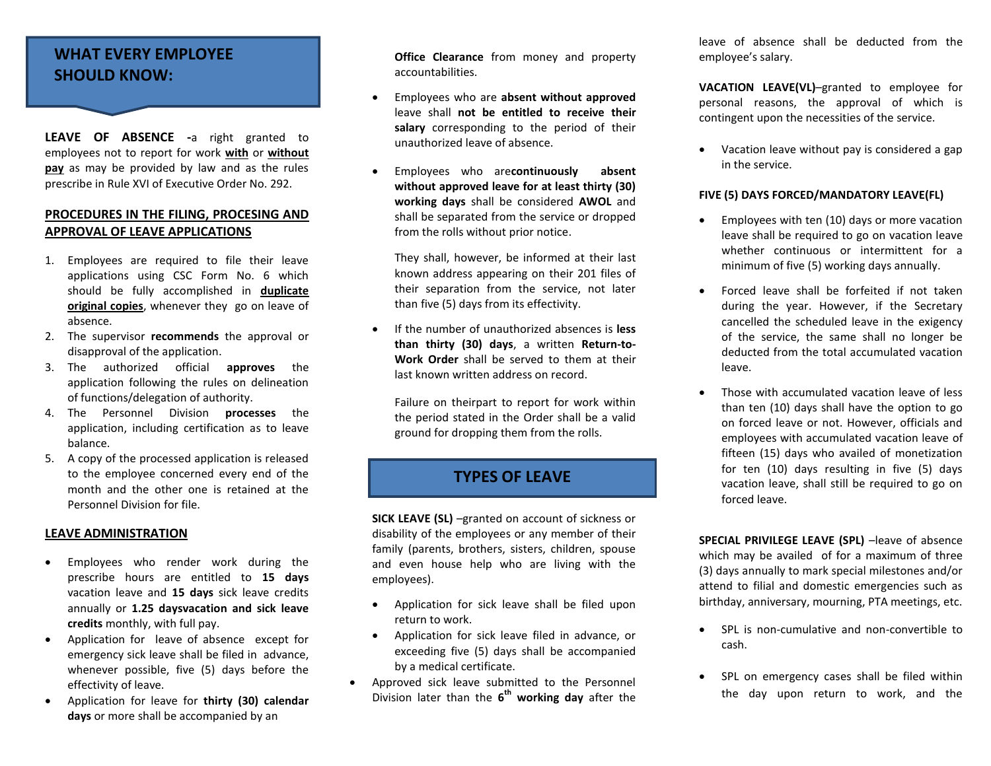## **WHAT EVERY EMPLOYEE SHOULD KNOW:**

**LEAVE OF ABSENCE -**a right granted to employees not to report for work **with** or **without pay** as may be provided by law and as the rules prescribe in Rule XVI of Executive Order No. 292.

## **PROCEDURES IN THE FILING, PROCESING AND APPROVAL OF LEAVE APPLICATIONS**

- 1. Employees are required to file their leave applications using CSC Form No. 6 which should be fully accomplished in **duplicate original copies**, whenever they go on leave of absence.
- 2. The supervisor **recommends** the approval or disapproval of the application.
- 3. The authorized official **approves** the application following the rules on delineation of functions/delegation of authority.
- 4. The Personnel Division **processes** the application, including certification as to leave balance.
- 5. A copy of the processed application is released to the employee concerned every end of the month and the other one is retained at the Personnel Division for file.

## **LEAVE ADMINISTRATION**

- Employees who render work during the prescribe hours are entitled to **15 days** vacation leave and **15 days** sick leave credits annually or **1.25 daysvacation and sick leave credits** monthly, with full pay.
- Application for leave of absence except for emergency sick leave shall be filed in advance, whenever possible, five (5) days before the effectivity of leave.
- Application for leave for **thirty (30) calendar days** or more shall be accompanied by an

**Office Clearance** from money and property accountabilities.

- Employees who are **absent without approved** leave shall **not be entitled to receive their salary** corresponding to the period of their unauthorized leave of absence.
- Employees who are**continuously absent without approved leave for at least thirty (30) working days** shall be considered **AWOL** and shall be separated from the service or dropped from the rolls without prior notice.

They shall, however, be informed at their last known address appearing on their 201 files of their separation from the service, not later than five (5) days from its effectivity.

 If the number of unauthorized absences is **less than thirty (30) days**, a written **Return-to-Work Order** shall be served to them at their last known written address on record.

Failure on theirpart to report for work within the period stated in the Order shall be a valid ground for dropping them from the rolls.

## **TYPES OF LEAVE**

**SICK LEAVE (SL)** –granted on account of sickness or disability of the employees or any member of their family (parents, brothers, sisters, children, spouse and even house help who are living with the employees).

- Application for sick leave shall be filed upon return to work.
- Application for sick leave filed in advance, or exceeding five (5) days shall be accompanied by a medical certificate.
- Approved sick leave submitted to the Personnel Division later than the **6 th working day** after the

leave of absence shall be deducted from the employee's salary.

**VACATION LEAVE(VL)**–granted to employee for personal reasons, the approval of which is contingent upon the necessities of the service.

 Vacation leave without pay is considered a gap in the service.

## **FIVE (5) DAYS FORCED/MANDATORY LEAVE(FL)**

- Employees with ten (10) days or more vacation leave shall be required to go on vacation leave whether continuous or intermittent for a minimum of five (5) working days annually.
- Forced leave shall be forfeited if not taken during the year. However, if the Secretary cancelled the scheduled leave in the exigency of the service, the same shall no longer be deducted from the total accumulated vacation leave.
- Those with accumulated vacation leave of less than ten (10) days shall have the option to go on forced leave or not. However, officials and employees with accumulated vacation leave of fifteen (15) days who availed of monetization for ten (10) days resulting in five (5) days vacation leave, shall still be required to go on forced leave.

**SPECIAL PRIVILEGE LEAVE (SPL)** –leave of absence which may be availed of for a maximum of three (3) days annually to mark special milestones and/or attend to filial and domestic emergencies such as birthday, anniversary, mourning, PTA meetings, etc.

- SPL is non-cumulative and non-convertible to cash.
- SPL on emergency cases shall be filed within the day upon return to work, and the